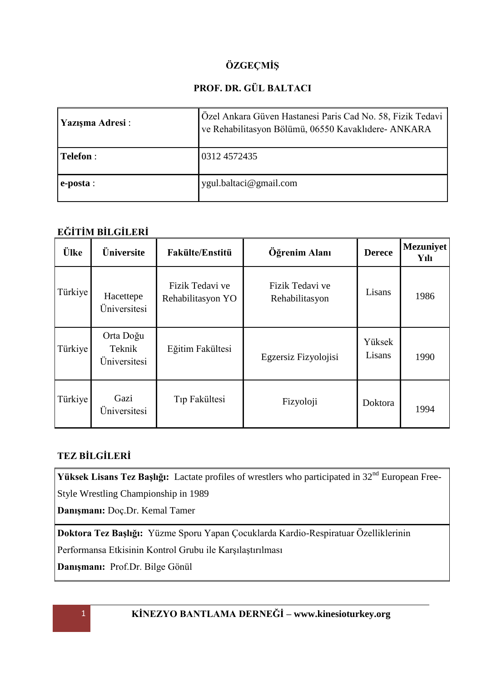# **ÖZGEÇMİŞ**

# **PROF. DR. GÜL BALTACI**

| Yazışma Adresi : | Özel Ankara Güven Hastanesi Paris Cad No. 58, Fizik Tedavi<br>ve Rehabilitasyon Bölümü, 06550 Kavaklıdere- ANKARA |  |
|------------------|-------------------------------------------------------------------------------------------------------------------|--|
| <b>Telefon</b> : | 0312 4572435                                                                                                      |  |
| e-posta:         | ygul.baltaci@gmail.com                                                                                            |  |

## **EĞİTİM BİLGİLERİ**

| Ülke    | Üniversite                          | <b>Fakülte/Enstitü</b>               | Öğrenim Alanı                     | <b>Derece</b>    | <b>Mezuniyet</b><br>Yılı |
|---------|-------------------------------------|--------------------------------------|-----------------------------------|------------------|--------------------------|
| Türkiye | Hacettepe<br>Üniversitesi           | Fizik Tedavi ve<br>Rehabilitasyon YO | Fizik Tedavi ve<br>Rehabilitasyon | Lisans           | 1986                     |
| Türkiye | Orta Doğu<br>Teknik<br>Üniversitesi | Eğitim Fakültesi                     | Egzersiz Fizyolojisi              | Yüksek<br>Lisans | 1990                     |
| Türkiye | Gazi<br>Üniversitesi                | Tıp Fakültesi                        | Fizyoloji                         | Doktora          | 1994                     |

# **TEZ BİLGİLERİ**

Yüksek Lisans Tez Başlığı: Lactate profiles of wrestlers who participated in 32<sup>nd</sup> European Free-Style Wrestling Championship in 1989

**Danışmanı:** Doç.Dr. Kemal Tamer

**Doktora Tez Başlığı:** Yüzme Sporu Yapan Çocuklarda Kardio-Respiratuar Özelliklerinin Performansa Etkisinin Kontrol Grubu ile Karşılaştırılması

**Danışmanı:** Prof.Dr. Bilge Gönül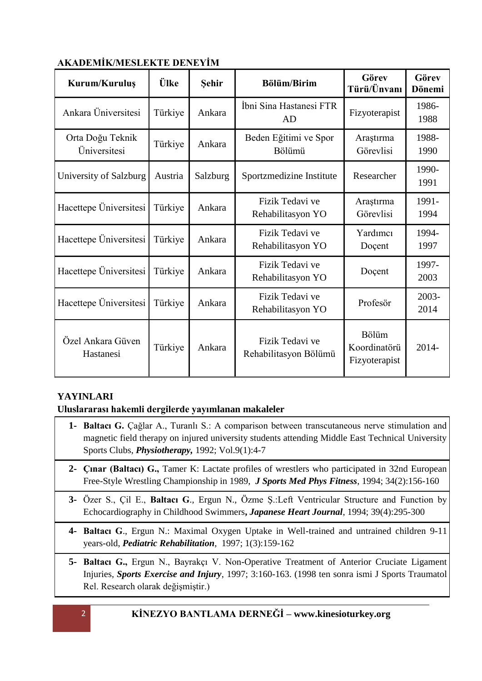| Kurum/Kuruluş                    | Ülke    | <b>Sehir</b> | <b>Bölüm/Birim</b>                       | Görev<br>Türü/Ünvanı                   | Görev<br>Dönemi |
|----------------------------------|---------|--------------|------------------------------------------|----------------------------------------|-----------------|
| Ankara Üniversitesi              | Türkiye | Ankara       | İbni Sina Hastanesi FTR<br>AD            | Fizyoterapist                          | 1986-<br>1988   |
| Orta Doğu Teknik<br>Üniversitesi | Türkiye | Ankara       | Beden Eğitimi ve Spor<br>Bölümü          | Araştırma<br>Görevlisi                 | 1988-<br>1990   |
| University of Salzburg           | Austria | Salzburg     | Sportzmedizine Institute                 | Researcher                             | 1990-<br>1991   |
| Hacettepe Üniversitesi           | Türkiye | Ankara       | Fizik Tedavi ve<br>Rehabilitasyon YO     | Araştırma<br>Görevlisi                 | 1991-<br>1994   |
| Hacettepe Universitesi           | Türkiye | Ankara       | Fizik Tedavi ve<br>Rehabilitasyon YO     | Yardımcı<br>Doçent                     | 1994-<br>1997   |
| Hacettepe Üniversitesi           | Türkiye | Ankara       | Fizik Tedavi ve<br>Rehabilitasyon YO     | Doçent                                 | 1997-<br>2003   |
| Hacettepe Universitesi           | Türkiye | Ankara       | Fizik Tedavi ve<br>Rehabilitasyon YO     | Profesör                               | 2003-<br>2014   |
| Özel Ankara Güven<br>Hastanesi   | Türkiye | Ankara       | Fizik Tedavi ve<br>Rehabilitasyon Bölümü | Bölüm<br>Koordinatörü<br>Fizyoterapist | 2014-           |

## **AKADEMİK/MESLEKTE DENEYİM**

## **YAYINLARI**

**Uluslararası hakemli dergilerde yayımlanan makaleler**

- **1- Baltacı G.** Çağlar A., Turanlı S.: A comparison between transcutaneous nerve stimulation and magnetic field therapy on injured university students attending Middle East Technical University Sports Clubs, *Physiotherapy,* 1992; Vol.9(1):4-7
- **2- Çınar (Baltacı) G.,** Tamer K: Lactate profiles of wrestlers who participated in 32nd European Free-Style Wrestling Championship in 1989, *J Sports Med Phys Fitness*, 1994; 34(2):156-160
- **3-** Özer S., Çil E., **Baltacı G**., Ergun N., Özme Ş.:Left Ventricular Structure and Function by Echocardiography in Childhood Swimmers**,** *Japanese Heart Journal*, 1994; 39(4):295-300
- **4- Baltacı G**., Ergun N.: Maximal Oxygen Uptake in Well-trained and untrained children 9-11 years-old, *Pediatric Rehabilitation*, 1997; 1(3):159-162
- **5- Baltacı G.,** Ergun N., Bayrakçı V. Non-Operative Treatment of Anterior Cruciate Ligament Injuries, *Sports Exercise and Injury*, 1997; 3:160-163. (1998 ten sonra ismi J Sports Traumatol Rel. Research olarak değişmiştir.)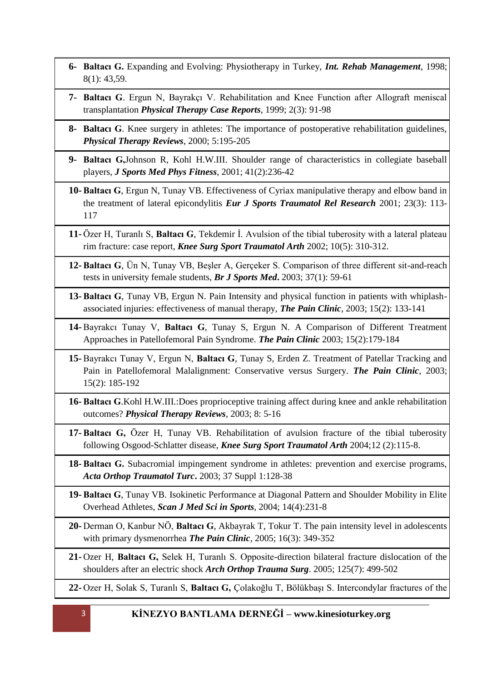- **6- Baltacı G.** Expanding and Evolving: Physiotherapy in Turkey, *Int. Rehab Management*, 1998; 8(1): 43,59.
- **7- Baltacı G**. Ergun N, Bayrakçı V. Rehabilitation and Knee Function after Allograft meniscal transplantation *Physical Therapy Case Reports*, 1999; 2(3): 91-98
- **8- Baltacı G**. Knee surgery in athletes: The importance of postoperative rehabilitation guidelines, *Physical Therapy Reviews*, 2000; 5:195-205
- **9- Baltacı G,**Johnson R, Kohl H.W.III. Shoulder range of characteristics in collegiate baseball players, *J Sports Med Phys Fitness*, 2001; 41(2):236-42
- **10- Baltacı G**, Ergun N, Tunay VB. Effectiveness of Cyriax manipulative therapy and elbow band in the treatment of lateral epicondylitis *Eur J Sports Traumatol Rel Research* 2001; 23(3): 113- 117
- **11-** Özer H, Turanlı S, **Baltacı G**, Tekdemir İ. Avulsion of the tibial tuberosity with a lateral plateau rim fracture: case report, *Knee Surg Sport Traumatol Arth* 2002; 10(5): 310-312.
- **12- Baltacı G**, Ün N, Tunay VB, Beşler A, Gerçeker S. Comparison of three different sit-and-reach tests in university female students, *Br J Sports Med***.** 2003; 37(1): 59-61
- **13- Baltacı G**, Tunay VB, Ergun N. Pain Intensity and physical function in patients with whiplashassociated injuries: effectiveness of manual therapy, *The Pain Clinic,* 2003; 15(2): 133-141
- **14-** Bayrakcı Tunay V, **Baltacı G**, Tunay S, Ergun N. A Comparison of Different Treatment Approaches in Patellofemoral Pain Syndrome. *The Pain Clinic* 2003; 15(2):179-184
- **15-** Bayrakcı Tunay V, Ergun N, **Baltacı G**, Tunay S, Erden Z. Treatment of Patellar Tracking and Pain in Patellofemoral Malalignment: Conservative versus Surgery. *The Pain Clinic*, 2003; 15(2): 185-192
- **16- Baltacı G**.Kohl H.W.III.:Does proprioceptive training affect during knee and ankle rehabilitation outcomes? *Physical Therapy Reviews*, 2003; 8: 5-16
- **17- Baltacı G,** Özer H, Tunay VB. Rehabilitation of avulsion fracture of the tibial tuberosity following Osgood-Schlatter disease, *Knee Surg Sport Traumatol Arth* 2004;12 (2):115-8.
- **18- Baltacı G.** Subacromial impingement syndrome in athletes: prevention and exercise programs, *Acta Orthop Traumatol Turc***.** 2003; 37 Suppl 1:128-38
- **19- Baltacı G**, Tunay VB. Isokinetic Performance at Diagonal Pattern and Shoulder Mobility in Elite Overhead Athletes, *Scan J Med Sci in Sports*, 2004; 14(4):231-8
- **20-** Derman O, Kanbur NÖ, **Baltacı G**, Akbayrak T, Tokur T. The pain intensity level in adolescents with primary dysmenorrhea *The Pain Clinic,* 2005; 16(3): 349-352
- **21-** Ozer H, **Baltacı G,** Selek H, Turanlı S. Opposite-direction bilateral fracture dislocation of the shoulders after an electric shock *Arch Orthop Trauma Surg*. 2005; 125(7): 499-502
- **22-** Ozer H, Solak S, Turanlı S, **Baltacı G,** Çolakoğlu T, Bölükbaşı S. Intercondylar fractures of the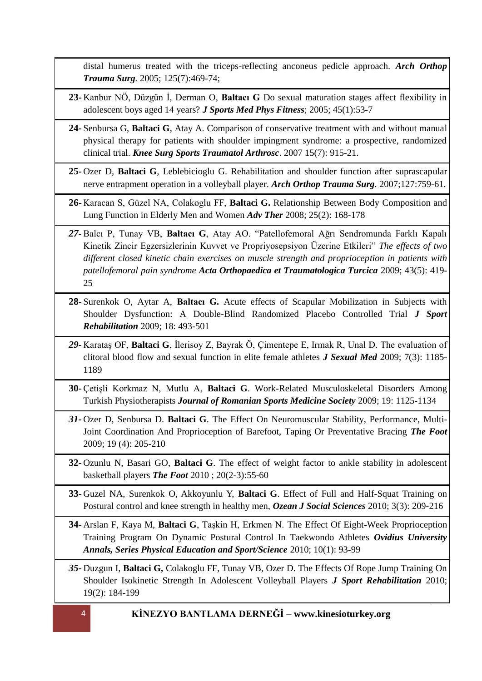distal humerus treated with the triceps-reflecting anconeus pedicle approach. *Arch Orthop Trauma Surg.* 2005; 125(7):469-74;

- **23-** Kanbur NÖ, Düzgün İ, Derman O, **Baltacı G** Do sexual maturation stages affect flexibility in adolescent boys aged 14 years? *J Sports Med Phys Fitness*; 2005; 45(1):53-7
- **24-** Senbursa G, **Baltaci G**, Atay A. Comparison of conservative treatment with and without manual physical therapy for patients with shoulder impingment syndrome: a prospective, randomized clinical trial. *Knee Surg Sports Traumatol Arthrosc*. 2007 15(7): 915-21.
- **25-** Ozer D, **Baltaci G**, Leblebicioglu G. Rehabilitation and shoulder function after suprascapular nerve entrapment operation in a volleyball player. *Arch Orthop Trauma Surg*. 2007;127:759-61.
- **26-** Karacan S, Güzel NA, Colakoglu FF, **Baltaci G.** Relationship Between Body Composition and Lung Function in Elderly Men and Women *Adv Ther* 2008; 25(2): 168-178
- *27-* Balcı P, Tunay VB, **Baltacı G**, Atay AO. "Patellofemoral Ağrı Sendromunda Farklı Kapalı Kinetik Zincir Egzersizlerinin Kuvvet ve Propriyosepsiyon Üzerine Etkileri" *The effects of two different closed kinetic chain exercises on muscle strength and proprioception in patients with patellofemoral pain syndrome Acta Orthopaedica et Traumatologica Turcica* 2009; 43(5): 419- 25
- **28-** Surenkok O, Aytar A, **Baltacı G.** Acute effects of Scapular Mobilization in Subjects with Shoulder Dysfunction: A Double-Blind Randomized Placebo Controlled Trial *J Sport Rehabilitation* 2009; 18: 493-501
- *29-* Karataş OF, **Baltaci G**, İlerisoy Z, Bayrak Ö, Çimentepe E, Irmak R, Unal D. The evaluation of clitoral blood flow and sexual function in elite female athletes *J Sexual Med* 2009; 7(3): 1185- 1189
- **30-** Çetişli Korkmaz N, Mutlu A, **Baltaci G**. Work-Related Musculoskeletal Disorders Among Turkish Physiotherapists *Journal of Romanian Sports Medicine Society* 2009; 19: 1125-1134
- *31-* Ozer D, Senbursa D. **Baltaci G**. The Effect On Neuromuscular Stability, Performance, Multi-Joint Coordination And Proprioception of Barefoot, Taping Or Preventative Bracing *The Foot*  2009; 19 (4): 205-210
- **32-** Ozunlu N, Basari GO, **Baltaci G**. The effect of weight factor to ankle stability in adolescent basketball players *The Foot* 2010 ; 20(2-3):55-60
- **33-** Guzel NA, Surenkok O, Akkoyunlu Y, **Baltaci G**. Effect of Full and Half-Squat Training on Postural control and knee strength in healthy men, *Ozean J Social Sciences* 2010; 3(3): 209-216
- **34-** Arslan F, Kaya M, **Baltaci G**, Taşkin H, Erkmen N. The Effect Of Eight-Week Proprioception Training Program On Dynamic Postural Control In Taekwondo Athletes *Ovidius University Annals, Series Physical Education and Sport/Science* 2010; 10(1): 93-99
- *35-* Duzgun I, **Baltaci G,** Colakoglu FF, Tunay VB, Ozer D. The Effects Of Rope Jump Training On Shoulder Isokinetic Strength In Adolescent Volleyball Players *J Sport Rehabilitation* 2010; 19(2): 184-199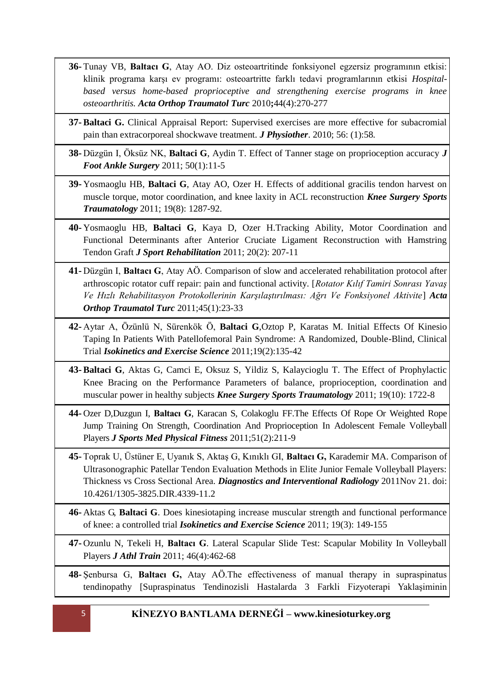- **36-** Tunay VB, **Baltacı G**, Atay AO. Diz osteoartritinde fonksiyonel egzersiz programının etkisi: klinik programa karşı ev programı: osteoartritte farklı tedavi programlarının etkisi *Hospitalbased versus home-based proprioceptive and strengthening exercise programs in knee osteoarthritis. Acta Orthop Traumatol Turc* 2010**;**44(4):270-277
- **37- Baltaci G.** Clinical Appraisal Report: Supervised exercises are more effective for subacromial pain than extracorporeal shockwave treatment. *J Physiother*. 2010; 56: (1):58*.*
- **38-** Düzgün I, Öksüz NK, **Baltaci G**, Aydin T. Effect of Tanner stage on proprioception accuracy *J Foot Ankle Surgery* 2011; 50(1):11-5
- **39-** Yosmaoglu HB, **Baltaci G**, Atay AO, Ozer H. Effects of additional gracilis tendon harvest on muscle torque, motor coordination, and knee laxity in ACL reconstruction *Knee Surgery Sports Traumatology* 2011; 19(8): 1287-92.
- **40-** Yosmaoglu HB, **Baltaci G**, Kaya D, Ozer H.Tracking Ability, Motor Coordination and Functional Determinants after Anterior Cruciate Ligament Reconstruction with Hamstring Tendon Graft *J Sport Rehabilitation* 2011; 20(2): 207-11
- **41-** Düzgün I, **Baltacı G**, Atay AÖ. Comparison of slow and accelerated rehabilitation protocol after arthroscopic rotator cuff repair: pain and functional activity. [*Rotator Kılıf Tamiri Sonrası Yavaş Ve Hızlı Rehabilitasyon Protokollerinin Karşılaştırılması: Ağrı Ve Fonksiyonel Aktivite*] *Acta Orthop Traumatol Turc* 2011;45(1):23-33
- **42-** Aytar A, Özünlü N, Sürenkök Ö, **Baltaci G**,Oztop P, Karatas M. Initial Effects Of Kinesio Taping In Patients With Patellofemoral Pain Syndrome: A Randomized, Double-Blind, Clinical Trial *Isokinetics and Exercise Science* 2011;19(2):135-42
- **43- Baltaci G**, Aktas G, Camci E, Oksuz S, Yildiz S, Kalaycioglu T. The Effect of Prophylactic Knee Bracing on the Performance Parameters of balance, proprioception, coordination and muscular power in healthy subjects *Knee Surgery Sports Traumatology* 2011; 19(10): 1722-8
- **44-** Ozer D,Duzgun I, **Baltacı G**, Karacan S, Colakoglu FF.The Effects Of Rope Or Weighted Rope Jump Training On Strength, Coordination And Proprioception In Adolescent Female Volleyball Players *J Sports Med Physical Fitness* 2011;51(2):211-9
- **45-** Toprak U, Üstüner E, Uyanık S, Aktaş G, Kınıklı GI, **Baltacı G,** Karademir MA. Comparison of Ultrasonographic Patellar Tendon Evaluation Methods in Elite Junior Female Volleyball Players: Thickness vs Cross Sectional Area. *Diagnostics and Interventional Radiology* 2011Nov 21. doi: 10.4261/1305-3825.DIR.4339-11.2
- **46-** Aktas G, **Baltaci G**. Does kinesiotaping increase muscular strength and functional performance of knee: a controlled trial *Isokinetics and Exercise Science* 2011; 19(3): 149-155
- **47-** Ozunlu N, Tekeli H, **Baltacı G**. Lateral Scapular Slide Test: Scapular Mobility In Volleyball Players *J Athl Train* 2011; 46(4):462-68
- **48-** Şenbursa G, **Baltacı G,** Atay AÖ.The effectiveness of manual therapy in supraspinatus tendinopathy [Supraspinatus Tendinozisli Hastalarda 3 Farkli Fizyoterapi Yaklaşiminin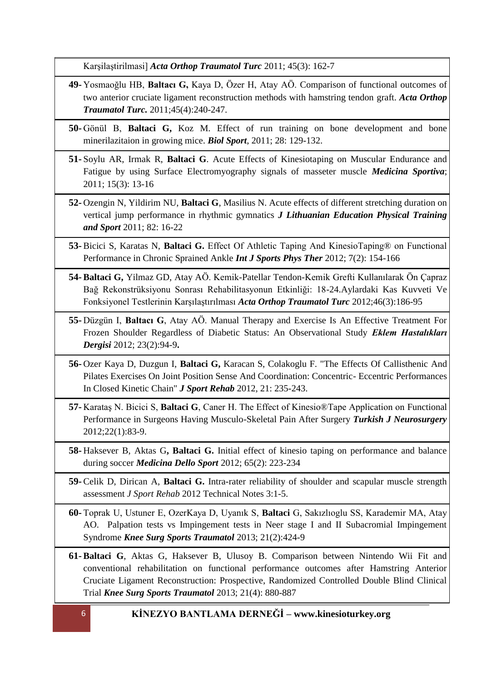Karşilaştirilmasi] *Acta Orthop Traumatol Turc* 2011; 45(3): 162-7

- **49-** Yosmaoğlu HB, **Baltacı G,** Kaya D, Özer H, Atay AÖ. Comparison of functional outcomes of two anterior cruciate ligament reconstruction methods with hamstring tendon graft. *Acta Orthop Traumatol Turc.* 2011;45(4):240-247.
- **50-** Gönül B, **Baltaci G,** Koz M. Effect of run training on bone development and bone minerilazitaion in growing mice. *Biol Sport*, 2011; 28: 129-132.
- **51-** Soylu AR, Irmak R, **Baltaci G**. Acute Effects of Kinesiotaping on Muscular Endurance and Fatigue by using Surface Electromyography signals of masseter muscle *Medicina Sportiva*; 2011; 15(3): 13-16
- **52-** Ozengin N, Yildirim NU, **Baltaci G**, Masilius N. Acute effects of different stretching duration on vertical jump performance in rhythmic gymnatics *J Lithuanian Education Physical Training and Sport* 2011; 82: 16-22
- **53-** Bicici S, Karatas N, **Baltaci G.** Effect Of Athletic Taping And KinesioTaping® on Functional Performance in Chronic Sprained Ankle *Int J Sports Phys Ther* 2012; 7(2): 154-166
- **54- Baltaci G,** Yilmaz GD, Atay AÖ. Kemik-Patellar Tendon-Kemik Grefti Kullanılarak Ön Çapraz Bağ Rekonstrüksiyonu Sonrası Rehabilitasyonun Etkinliği: 18-24.Aylardaki Kas Kuvveti Ve Fonksiyonel Testlerinin Karşılaştırılması *Acta Orthop Traumatol Turc* 2012;46(3):186-95
- **55-** Düzgün I, **Baltacı G**, Atay AÖ. Manual Therapy and Exercise Is An Effective Treatment For Frozen Shoulder Regardless of Diabetic Status: An Observational Study *Eklem Hastalıkları Dergisi* 2012; 23(2):94-9**.**
- **56-** Ozer Kaya D, Duzgun I, **Baltaci G,** Karacan S, Colakoglu F. "The Effects Of Callisthenic And Pilates Exercises On Joint Position Sense And Coordination: Concentric- Eccentric Performances In Closed Kinetic Chain" *J Sport Rehab* 2012, 21: 235-243.
- **57-** Karataş N. Bicici S, **Baltaci G**, Caner H. The Effect of Kinesio®Tape Application on Functional Performance in Surgeons Having Musculo-Skeletal Pain After Surgery *Turkish J Neurosurgery*  2012;22(1):83-9.
- **58-** Haksever B, Aktas G**, Baltaci G.** Initial effect of kinesio taping on performance and balance during soccer *Medicina Dello Sport* 2012; 65(2): 223-234
- **59-** Celik D, Dirican A, **Baltaci G.** Intra-rater reliability of shoulder and scapular muscle strength assessment *J Sport Rehab* 2012 Technical Notes 3:1-5.
- **60-** Toprak U, Ustuner E, OzerKaya D, Uyanık S, **Baltaci** G, Sakızlıoglu SS, Karademir MA, Atay AO. Palpation tests vs Impingement tests in Neer stage I and II Subacromial Impingement Syndrome *Knee Surg Sports Traumatol* 2013; 21(2):424-9
- **61- Baltaci G**, Aktas G, Haksever B, Ulusoy B. Comparison between Nintendo Wii Fit and conventional rehabilitation on functional performance outcomes after Hamstring Anterior Cruciate Ligament Reconstruction: Prospective, Randomized Controlled Double Blind Clinical Trial *Knee Surg Sports Traumatol* 2013; 21(4): 880-887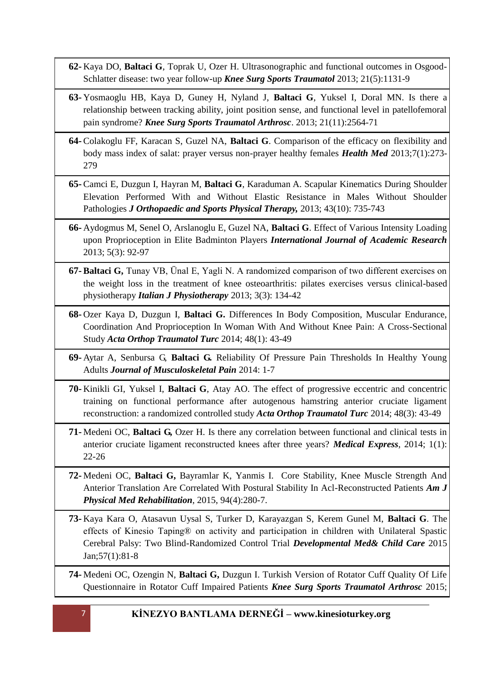- **62-** Kaya DO, **Baltaci G**, Toprak U, Ozer H. Ultrasonographic and functional outcomes in Osgood-Schlatter disease: two year follow-up *Knee Surg Sports Traumatol* 2013; 21(5):1131-9
- **63-** Yosmaoglu HB, Kaya D, Guney H, Nyland J, **Baltaci G**, Yuksel I, Doral MN. Is there a relationship between tracking ability, joint position sense, and functional level in patellofemoral pain syndrome? *Knee Surg Sports Traumatol Arthrosc*. 2013; 21(11):2564-71
- **64-** Colakoglu FF, Karacan S, Guzel NA, **Baltaci G**. Comparison of the efficacy on flexibility and body mass index of salat: prayer versus non-prayer healthy females *Health Med* 2013;7(1):273- 279
- **65-** Camci E, Duzgun I, Hayran M, **Baltaci G**, Karaduman A. Scapular Kinematics During Shoulder Elevation Performed With and Without Elastic Resistance in Males Without Shoulder Pathologies *J Orthopaedic and Sports Physical Therapy,* 2013; 43(10): 735-743
- **66-** Aydogmus M, Senel O, Arslanoglu E, Guzel NA, **Baltaci G**. Effect of Various Intensity Loading upon Proprioception in Elite Badminton Players *International Journal of Academic Research* 2013; 5(3): 92-97
- **67- Baltaci G,** Tunay VB, Ünal E, Yagli N. A randomized comparison of two different exercises on the weight loss in the treatment of knee osteoarthritis: pilates exercises versus clinical-based physiotherapy *Italian J Physiotherapy* 2013; 3(3): 134-42
- **68-** Ozer Kaya D, Duzgun I, **Baltaci G.** Differences In Body Composition, Muscular Endurance, Coordination And Proprioception In Woman With And Without Knee Pain: A Cross-Sectional Study *Acta Orthop Traumatol Turc* 2014; 48(1): 43-49
- **69-** Aytar A, Senbursa G, **Baltaci G.** Reliability Of Pressure Pain Thresholds In Healthy Young Adults *Journal of Musculoskeletal Pain* 2014: 1-7
- **70-** Kinikli GI, Yuksel I, **Baltaci G**, Atay AO. The effect of progressive eccentric and concentric training on functional performance after autogenous hamstring anterior cruciate ligament reconstruction: a randomized controlled study *Acta Orthop Traumatol Turc* 2014; 48(3): 43-49
- **71-** Medeni OC, **Baltaci G,** Ozer H. Is there any correlation between functional and clinical tests in anterior cruciate ligament reconstructed knees after three years? *Medical Express*, 2014; 1(1): 22-26
- **72-** Medeni OC, **Baltaci G,** Bayramlar K, Yanmis I. Core Stability, Knee Muscle Strength And Anterior Translation Are Correlated With Postural Stability In Acl-Reconstructed Patients *Am J Physical Med Rehabilitation*, 2015, 94(4):280-7.
- **73-** Kaya Kara O, Atasavun Uysal S, Turker D, Karayazgan S, Kerem Gunel M, **Baltaci G**. The effects of Kinesio Taping® on activity and participation in children with Unilateral Spastic Cerebral Palsy: Two Blind-Randomized Control Trial *Developmental Med& Child Care* 2015 Jan;57(1):81-8

**74-** Medeni OC, Ozengin N, **Baltaci G,** Duzgun I. Turkish Version of Rotator Cuff Quality Of Life Questionnaire in Rotator Cuff Impaired Patients *Knee Surg Sports Traumatol Arthrosc* 2015;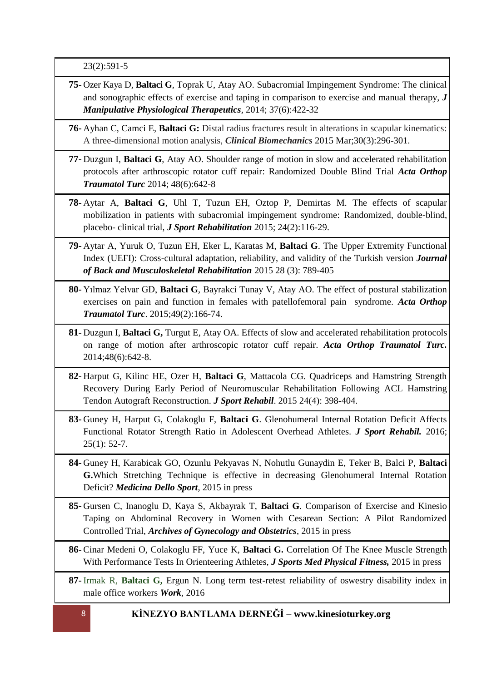23(2):591-5

**75-** Ozer Kaya D, **Baltaci G**, Toprak U, Atay AO. Subacromial Impingement Syndrome: The clinical and sonographic effects of exercise and taping in comparison to exercise and manual therapy, *J Manipulative Physiological Therapeutics,* 2014; 37(6):422-32

**76-** Ayhan C, Camci E, **Baltaci G:** Distal radius fractures result in alterations in scapular kinematics: A three-dimensional motion analysis, *Clinical Biomechanics* 2015 Mar;30(3):296-301.

- **77-** Duzgun I, **Baltaci G**, Atay AO. Shoulder range of motion in slow and accelerated rehabilitation protocols after arthroscopic rotator cuff repair: Randomized Double Blind Trial *Acta Orthop Traumatol Turc* 2014; 48(6):642-8
- **78-** Aytar A, **Baltaci G**, Uhl T, Tuzun EH, Oztop P, Demirtas M. The effects of scapular mobilization in patients with subacromial impingement syndrome: Randomized, double-blind, placebo- clinical trial, *J Sport Rehabilitation* 2015; 24(2):116-29.
- **79-** Aytar A, Yuruk O, Tuzun EH, Eker L, Karatas M, **Baltaci G**. The Upper Extremity Functional Index (UEFI): Cross-cultural adaptation, reliability, and validity of the Turkish version *Journal of Back and Musculoskeletal Rehabilitation* 2015 28 (3): 789-405
- **80-** Yılmaz Yelvar GD, **Baltaci G**, Bayrakci Tunay V, Atay AO. The effect of postural stabilization exercises on pain and function in females with patellofemoral pain syndrome. *Acta Orthop Traumatol Turc*. 2015;49(2):166-74.
- **81-** Duzgun I, **Baltaci G,** Turgut E, Atay OA. Effects of slow and accelerated rehabilitation protocols on range of motion after arthroscopic rotator cuff repair. *Acta Orthop Traumatol Turc.* 2014;48(6):642-8.
- **82-** Harput G, Kilinc HE, Ozer H, **Baltaci G**, Mattacola CG. Quadriceps and Hamstring Strength Recovery During Early Period of Neuromuscular Rehabilitation Following ACL Hamstring Tendon Autograft Reconstruction. *J Sport Rehabil*. 2015 24(4): 398-404.
- **83-** Guney H, Harput G, Colakoglu F, **Baltaci G**. Glenohumeral Internal Rotation Deficit Affects Functional Rotator Strength Ratio in Adolescent Overhead Athletes. *J Sport Rehabil.* 2016;  $25(1): 52-7.$
- **84-** Guney H, Karabicak GO, Ozunlu Pekyavas N, Nohutlu Gunaydin E, Teker B, Balci P, **Baltaci G.**Which Stretching Technique is effective in decreasing Glenohumeral Internal Rotation Deficit? *Medicina Dello Sport*, 2015 in press
- **85-** Gursen C, Inanoglu D, Kaya S, Akbayrak T, **Baltaci G**. Comparison of Exercise and Kinesio Taping on Abdominal Recovery in Women with Cesarean Section: A Pilot Randomized Controlled Trial, *Archives of Gynecology and Obstetrics*, 2015 in press
- **86-** Cinar Medeni O, Colakoglu FF, Yuce K, **Baltaci G.** Correlation Of The Knee Muscle Strength With Performance Tests In Orienteering Athletes, *J Sports Med Physical Fitness,* 2015 in press
- **87-** Irmak R, **Baltaci G,** Ergun N. [Long term test-retest reliability of oswestry disability index in](http://scholar.google.com.tr/scholar_url?url=http://content.iospress.com/articles/work/wor2234&hl=tr&sa=X&scisig=AAGBfm3pJlQP0uDaOhjmHNSlW4J3RG-k9Q&nossl=1&oi=scholaralrt)  [male office workers](http://scholar.google.com.tr/scholar_url?url=http://content.iospress.com/articles/work/wor2234&hl=tr&sa=X&scisig=AAGBfm3pJlQP0uDaOhjmHNSlW4J3RG-k9Q&nossl=1&oi=scholaralrt) *Work*, 2016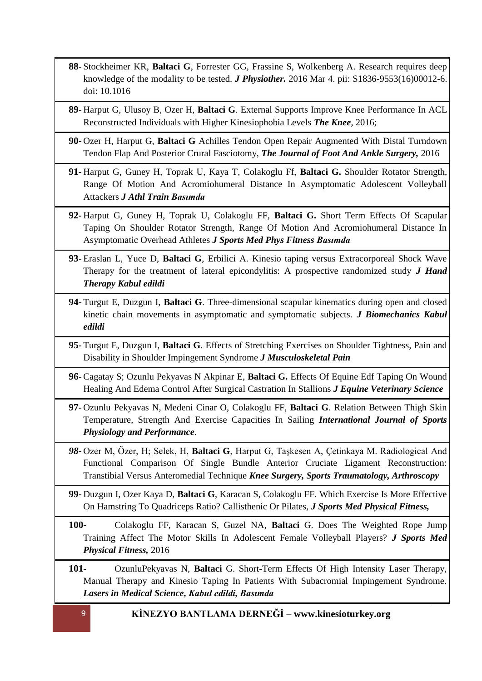- **88-** Stockheimer KR, **Baltaci G**, Forrester GG, Frassine S, Wolkenberg A. Research requires deep knowledge of the modality to be tested. *J Physiother.* 2016 Mar 4. pii: S1836-9553(16)00012-6. doi: 10.1016
- **89-** Harput G, Ulusoy B, Ozer H, **Baltaci G**. External Supports Improve Knee Performance In ACL Reconstructed Individuals with Higher Kinesiophobia Levels *The Knee*, 2016;
- **90-** Ozer H, Harput G, **Baltaci G** Achilles Tendon Open Repair Augmented With Distal Turndown Tendon Flap And Posterior Crural Fasciotomy, *The Journal of Foot And Ankle Surgery,* 2016
- **91-** Harput G, Guney H, Toprak U, Kaya T, Colakoglu Ff, **Baltaci G.** Shoulder Rotator Strength, Range Of Motion And Acromiohumeral Distance In Asymptomatic Adolescent Volleyball Attackers *J Athl Train Basımda*
- **92-** Harput G, Guney H, Toprak U, Colakoglu FF, **Baltaci G.** Short Term Effects Of Scapular Taping On Shoulder Rotator Strength, Range Of Motion And Acromiohumeral Distance In Asymptomatic Overhead Athletes *J Sports Med Phys Fitness Basımda*
- **93-** Eraslan L, Yuce D, **Baltaci G**, Erbilici A. Kinesio taping versus Extracorporeal Shock Wave Therapy for the treatment of lateral epicondylitis: A prospective randomized study *J Hand Therapy Kabul edildi*
- **94-** Turgut E, Duzgun I, **Baltaci G**. Three-dimensional scapular kinematics during open and closed kinetic chain movements in asymptomatic and symptomatic subjects. *J Biomechanics Kabul edildi*
- **95-** Turgut E, Duzgun I, **Baltaci G**. Effects of Stretching Exercises on Shoulder Tightness, Pain and Disability in Shoulder Impingement Syndrome *J Musculoskeletal Pain*
- **96-** Cagatay S; Ozunlu Pekyavas N Akpinar E, **Baltaci G.** Effects Of Equine Edf Taping On Wound Healing And Edema Control After Surgical Castration In Stallions *J Equine Veterinary Science*
- **97-** Ozunlu Pekyavas N, Medeni Cinar O, Colakoglu FF, **Baltaci G**. Relation Between Thigh Skin Temperature, Strength And Exercise Capacities In Sailing *International Journal of Sports Physiology and Performance.*
- *98-* Ozer M, Özer, H; Selek, H, **Baltaci G**, Harput G, Taşkesen A, Çetinkaya M. Radiological And Functional Comparison Of Single Bundle Anterior Cruciate Ligament Reconstruction: Transtibial Versus Anteromedial Technique *Knee Surgery, Sports Traumatology, Arthroscopy*
- **99-** Duzgun I, Ozer Kaya D, **Baltaci G**, Karacan S, Colakoglu FF. Which Exercise Is More Effective On Hamstring To Quadriceps Ratio? Callisthenic Or Pilates, *J Sports Med Physical Fitness,*
- **100-** Colakoglu FF, Karacan S, Guzel NA, **Baltaci** G. Does The Weighted Rope Jump Training Affect The Motor Skills In Adolescent Female Volleyball Players? *J Sports Med Physical Fitness,* 2016
- **101-** OzunluPekyavas N, **Baltaci** G. Short-Term Effects Of High Intensity Laser Therapy, Manual Therapy and Kinesio Taping In Patients With Subacromial Impingement Syndrome. *Lasers in Medical Science, Kabul edildi, Basımda*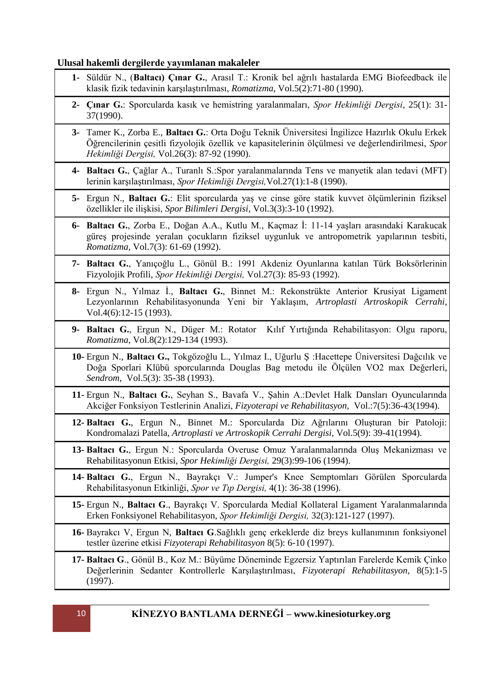### **Ulusal hakemli dergilerde yayımlanan makaleler**

- **1-** Süldür N., (**Baltacı) Çınar G.**, Arasıl T.: Kronik bel ağrılı hastalarda EMG Biofeedback ile klasik fizik tedavinin karşılaştırılması, *Romatizma*, Vol.5(2):71-80 (1990).
- **2- Çınar G.**: Sporcularda kasık ve hemistring yaralanmaları, *Spor Hekimliği Dergisi*, 25(1): 31- 37(1990).
- **3-** Tamer K., Zorba E., **Baltacı G.**: Orta Doğu Teknik Üniversitesi İngilizce Hazırlık Okulu Erkek Öğrencilerinin çesitli fizyolojik özellik ve kapasitelerinin ölçülmesi ve değerlendirilmesi, *Spor Hekimliği Dergisi,* Vol.26(3): 87-92 (1990).
- **4- Baltacı G.**, Çağlar A., Turanlı S.:Spor yaralanmalarında Tens ve manyetik alan tedavi (MFT) lerinin karşılaştırılması, *Spor Hekimliği Dergisi,*Vol.27(1):1-8 (1990).
- **5-** Ergun N., **Baltacı G.**: Elit sporcularda yaş ve cinse göre statik kuvvet ölçümlerinin fiziksel özellikler ile ilişkisi, *Spor Bilimleri Dergisi*, Vol.3(3):3-10 (1992).
- **6- Baltacı G.**, Zorba E., Doğan A.A., Kutlu M., Kaçmaz İ: 11-14 yaşları arasındaki Karakucak güreş projesinde yeralan çocukların fiziksel uygunluk ve antropometrik yapılarının tesbiti, *Romatizma,* Vol.7(3): 61-69 (1992).
- **7- Baltacı G.**, Yanıçoğlu L., Gönül B.: 1991 Akdeniz Oyunlarına katılan Türk Boksörlerinin Fizyolojik Profili, *Spor Hekimliği Dergisi,* Vol.27(3): 85-93 (1992).
- **8-** Ergun N., Yılmaz İ., **Baltacı G.**, Binnet M.: Rekonstrükte Anterior Krusiyat Ligament Lezyonlarının Rehabilitasyonunda Yeni bir Yaklaşım, *Artroplasti Artroskopik Cerrahi*, Vol.4(6):12-15 (1993).
- **9- Baltacı G.**, Ergun N., Düger M.: Rotator Kılıf Yırtığında Rehabilitasyon: Olgu raporu, *Romatizma*, Vol.8(2):129-134 (1993).
- **10-** Ergun N., **Baltacı G.,** Tokgözoğlu L., Yılmaz I., Uğurlu Ş :Hacettepe Üniversitesi Dağcılık ve Doğa Sporlari Klübü sporcularında Douglas Bag metodu ile Ölçülen VO2 max Değerleri, *Sendrom,* Vol.5(3): 35-38 (1993).
- **11-** Ergun N., **Baltacı G.**, Seyhan S., Bavafa V., Şahin A.:Devlet Halk Dansları Oyuncularında Akciğer Fonksiyon Testlerinin Analizi, *Fizyoterapi ve Rehabilitasyon,* Vol.:7(5):36-43(1994).
- **12- Baltacı G.**, Ergun N., Binnet M.: Sporcularda Diz Ağrılarını Oluşturan bir Patoloji: Kondromalazi Patella, *Artroplasti ve Artroskopik Cerrahi Dergisi,* Vol.5(9): 39-41(1994).
- **13- Baltacı G.**, Ergun N.: Sporcularda Overuse Omuz Yaralanmalarında Oluş Mekanizması ve Rehabilitasyonun Etkisi, *Spor Hekimliği Dergisi,* 29(3):99-106 (1994).
- **14- Baltacı G.**, Ergun N., Bayrakçı V.: Jumper's Knee Semptomları Görülen Sporcularda Rehabilitasyonun Etkinliği, *Spor ve Tıp Dergisi,* 4(1): 36-38 (1996).
- **15-** Ergun N., **Baltacı G**., Bayrakçı V. Sporcularda Medial Kollateral Ligament Yaralanmalarında Erken Fonksiyonel Rehabilitasyon, *Spor Hekimliği Dergisi,* 32(3):121-127 (1997).
- **16-** Bayrakcı V, Ergun N, **Baltacı G**.Sağlıklı genç erkeklerde diz breys kullanımının fonksiyonel testler üzerine etkisi *Fizyoterapi Rehabilitasyon* 8(5): 6-10 (1997).
- **17- Baltacı G**., Gönül B., Koz M.: Büyüme Döneminde Egzersiz Yaptırılan Farelerde Kemik Çinko Değerlerinin Sedanter Kontrollerle Karşılaştırılması, *Fizyoterapi Rehabilitasyon,* 8(5):1-5 (1997).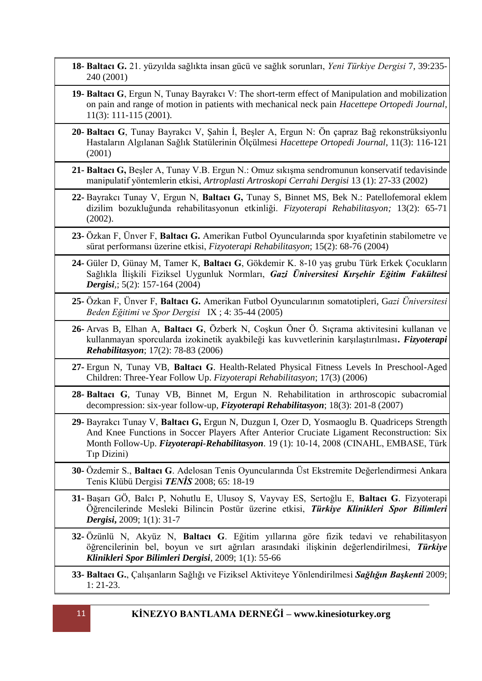**18- Baltacı G.** 21. yüzyılda sağlıkta insan gücü ve sağlık sorunları, *Yeni Türkiye Dergisi* 7, 39:235- 240 (2001)

- **19- Baltacı G**, Ergun N, Tunay Bayrakcı V: The short-term effect of Manipulation and mobilization on pain and range of motion in patients with mechanical neck pain *Hacettepe Ortopedi Journal*, 11(3): 111-115 (2001).
- **20- Baltacı G**, Tunay Bayrakcı V, Şahin İ, Beşler A, Ergun N: Ön çapraz Bağ rekonstrüksiyonlu Hastaların Algılanan Sağlık Statülerinin Ölçülmesi *Hacettepe Ortopedi Journal*, 11(3): 116-121 (2001)
- **21- Baltacı G,** Beşler A, Tunay V.B. Ergun N.: Omuz sıkışma sendromunun konservatif tedavisinde manipulatif yöntemlerin etkisi, *Artroplasti Artroskopi Cerrahi Dergisi* 13 (1): 27-33 (2002)
- **22-** Bayrakcı Tunay V, Ergun N, **Baltacı G,** Tunay S, Binnet MS, Bek N.: Patellofemoral eklem dizilim bozukluğunda rehabilitasyonun etkinliği. *Fizyoterapi Rehabilitasyon;* 13(2): 65-71 (2002).
- **23-** Özkan F, Ünver F, **Baltacı G.** Amerikan Futbol Oyuncularında spor kıyafetinin stabilometre ve sürat performansı üzerine etkisi, *Fizyoterapi Rehabilitasyon*; 15(2): 68-76 (2004)
- **24-** Güler D, Günay M, Tamer K, **Baltacı G**, Gökdemir K. 8-10 yaş grubu Türk Erkek Çocukların Sağlıkla İlişkili Fiziksel Uygunluk Normları, *Gazi Üniversitesi Kırşehir Eğitim Fakültesi Dergisi*,; 5(2): 157-164 (2004)
- **25-** Özkan F, Ünver F, **Baltacı G.** Amerikan Futbol Oyuncularının somatotipleri, G*azi Üniversitesi Beden Eğitimi ve Spor Dergisi* IX ; 4: 35-44 (2005)
- **26-** Arvas B, Elhan A, **Baltacı G**, Özberk N, Coşkun Öner Ö. Sıçrama aktivitesini kullanan ve kullanmayan sporcularda izokinetik ayakbileği kas kuvvetlerinin karşılaştırılması**.** *Fizyoterapi Rehabilitasyon*; 17(2): 78-83 (2006)
- **27-** Ergun N, Tunay VB, **Baltacı G**. Health-Related Physical Fitness Levels In Preschool-Aged Children: Three-Year Follow Up. *Fizyoterapi Rehabilitasyon*; 17(3) (2006)
- **28- Baltacı G**, Tunay VB, Binnet M, Ergun N. Rehabilitation in arthroscopic subacromial decompression: six-year follow-up, *Fizyoterapi Rehabilitasyon*; 18(3): 201-8 (2007)
- **29-** Bayrakcı Tunay V, **Baltacı G,** Ergun N, Duzgun I, Ozer D, Yosmaoglu B. Quadriceps Strength And Knee Functions in Soccer Players After Anterior Cruciate Ligament Reconstruction: Six Month Follow-Up. *Fizyoterapi-Rehabilitasyon*. 19 (1): 10-14, 2008 (CINAHL, EMBASE, Türk Tıp Dizini)
- **30-** Özdemir S., **Baltacı G**. Adelosan Tenis Oyuncularında Üst Ekstremite Değerlendirmesi Ankara Tenis Klübü Dergisi *TENİS* 2008; 65: 18-19
- **31-** Başarı GÖ, Balcı P, Nohutlu E, Ulusoy S, Vayvay ES, Sertoğlu E, **Baltacı G**. Fizyoterapi Öğrencilerinde Mesleki Bilincin Postür üzerine etkisi, *Türkiye Klinikleri Spor Bilimleri Dergisi***,** 2009; 1(1): 31-7
- **32-** Özünlü N, Akyüz N, **Baltacı G**. Eğitim yıllarına göre fizik tedavi ve rehabilitasyon öğrencilerinin bel, boyun ve sırt ağrıları arasındaki ilişkinin değerlendirilmesi, *Türkiye Klinikleri Spor Bilimleri Dergisi*, 2009; 1(1): 55-66

**33- Baltacı G.**, Çalışanların Sağlığı ve Fiziksel Aktiviteye Yönlendirilmesi *Sağlığın Başkenti* 2009; 1: 21-23.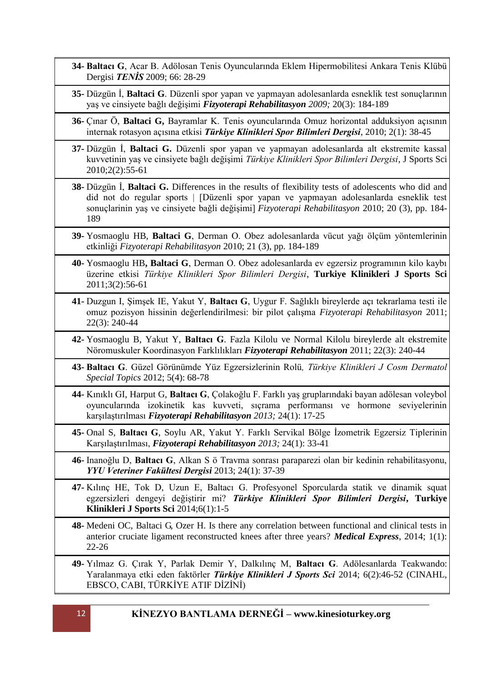- **34- Baltacı G**, Acar B. Adölosan Tenis Oyuncularında Eklem Hipermobilitesi Ankara Tenis Klübü Dergisi *TENİS* 2009; 66: 28-29
- **35-** Düzgün İ, **Baltaci G**. Düzenli spor yapan ve yapmayan adolesanlarda esneklik test sonuçlarının yaş ve cinsiyete bağlı değişimi *Fizyoterapi Rehabilitasyon 2009;* 20(3): 184-189
- **36-** Çınar Ö, **Baltaci G,** Bayramlar K. Tenis oyuncularında Omuz horizontal adduksiyon açısının internak rotasyon açısına etkisi *Türkiye Klinikleri Spor Bilimleri Dergisi*, 2010; 2(1): 38-45
- **37-** Düzgün İ, **Baltaci G.** Düzenli spor yapan ve yapmayan adolesanlarda alt ekstremite kassal kuvvetinin yaş ve cinsiyete bağlı değişimi *Türkiye Klinikleri Spor Bilimleri Dergisi*, J Sports Sci 2010;2(2):55-61
- **38-** Düzgün İ, **Baltaci G.** Differences in the results of flexibility tests of adolescents who did and did not do regular sports | [Düzenli spor yapan ve yapmayan adolesanlarda esneklik test sonuçlarinin yaş ve cinsiyete baǧli deǧişimi] *[Fizyoterapi Rehabilitasyon](http://www.scopus.com/source/sourceInfo.url?sourceId=74826&origin=resultslist)* 2010; 20 (3), pp. 184- 189
- **39-** Yosmaoglu HB, **Baltaci G**, Derman O. Obez adolesanlarda vücut yağı ölçüm yöntemlerinin etkinliği *[Fizyoterapi Rehabilitasyon](http://www.scopus.com/source/sourceInfo.url?sourceId=74826&origin=resultslist)* 2010; 21 (3), pp. 184-189
- **40-** Yosmaoglu HB**, Baltaci G**, Derman O. Obez adolesanlarda ev egzersiz programının kilo kaybı üzerine etkisi *Türkiye Klinikleri Spor Bilimleri Dergisi*, **Turkiye Klinikleri J Sports Sci**  2011;3(2):56-61
- **41-** Duzgun I, Şimşek IE, Yakut Y, **Baltacı G**, Uygur F. Sağlıklı bireylerde açı tekrarlama testi ile omuz pozisyon hissinin değerlendirilmesi: bir pilot çalışma *Fizyoterapi Rehabilitasyon* 2011; 22(3): 240-44
- **42-** Yosmaoglu B, Yakut Y, **Baltacı G**. Fazla Kilolu ve Normal Kilolu bireylerde alt ekstremite Nöromuskuler Koordinasyon Farklılıkları *Fizyoterapi Rehabilitasyon* 2011; 22(3): 240-44
- **43- Baltacı G**. Güzel Görünümde Yüz Egzersizlerinin Rolü*, Türkiye Klinikleri J Cosm Dermatol Special Topics* 2012; 5(4): 68-78
- **44-** Kınıklı GI, Harput G, **Baltacı G**, Çolakoğlu F. Farklı yaş gruplarındaki bayan adölesan voleybol oyuncularında izokinetik kas kuvveti, sıçrama performansı ve hormone seviyelerinin karşılaştırılması *Fizyoterapi Rehabilitasyon 2013;* 24(1): 17-25
- **45-** Onal S, **Baltacı G**, Soylu AR, Yakut Y. Farklı Servikal Bölge İzometrik Egzersiz Tiplerinin Karşılaştırılması, *Fizyoterapi Rehabilitasyon 2013;* 24(1): 33-41
- **46-** Inanoğlu D, **Baltacı G**, Alkan S ö Travma sonrası paraparezi olan bir kedinin rehabilitasyonu, *YYU Veteriner Fakültesi Dergisi* 2013; 24(1): 37-39
- **47-** Kılınç HE, Tok D, Uzun E, Baltacı G. Profesyonel Sporcularda statik ve dinamik squat egzersizleri dengeyi değiştirir mi? *Türkiye Klinikleri Spor Bilimleri Dergisi***, Turkiye Klinikleri J Sports Sci** 2014;6(1):1-5
- **48-** Medeni OC, Baltaci G, Ozer H. Is there any correlation between functional and clinical tests in anterior cruciate ligament reconstructed knees after three years? *Medical Express*, 2014; 1(1): 22-26
- **49-** Yılmaz G. Çırak Y, Parlak Demir Y, Dalkılınç M, **Baltacı G**. Adölesanlarda Teakwando: Yaralanmaya etki eden faktörler *Türkiye Klinikleri J Sports Sci* 2014; 6(2):46-52 (CINAHL, EBSCO, CABI, TÜRKİYE ATIF DİZİNİ)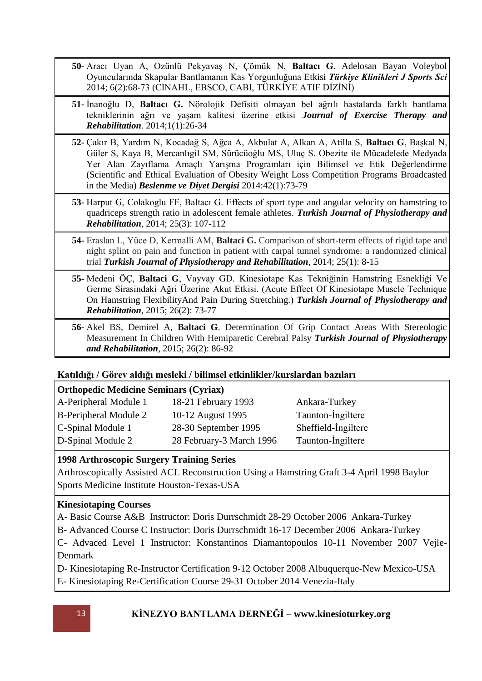**50-** Aracı Uyan A, Ozünlü Pekyavaş N, Çömük N, **Baltacı G**. Adelosan Bayan Voleybol Oyuncularında Skapular Bantlamanın Kas Yorgunluğuna Etkisi *Türkiye Klinikleri J Sports Sci* 2014; 6(2):68-73 (CINAHL, EBSCO, CABI, TÜRKİYE ATIF DİZİNİ)

**51-** İnanoğlu D, **Baltacı G.** Nörolojik Defisiti olmayan bel ağrılı hastalarda farklı bantlama tekniklerinin ağrı ve yaşam kalitesi üzerine etkisi *Journal of Exercise Therapy and Rehabilitation.* 2014;1(1):26-34

- **52-** Çakır B, Yardım N, Kocadağ S, Ağca A, Akbulat A, Alkan A, Atilla S, **Baltacı G**, Başkal N, Güler S, Kaya B, Mercanlıgil SM, Sürücüoğlu MS, Uluç S. Obezite ile Mücadelede Medyada Yer Alan Zayıflama Amaçlı Yarışma Programları için Bilimsel ve Etik Değerlendirme (Scientific and Ethical Evaluation of Obesity Weight Loss Competition Programs Broadcasted in the Media) *Beslenme ve Diyet Dergisi* 2014:42(1):73-79
- **53-** Harput G, Colakoglu FF, Baltacı G. Effects of sport type and angular velocity on hamstring to quadriceps strength ratio in adolescent female athletes. *Turkish Journal of Physiotherapy and Rehabilitation*, 2014; 25(3): 107-112
- **54-** Eraslan L, Yüce D, Kermalli AM, **Baltaci G.** Comparison of short-term effects of rigid tape and night splint on pain and function in patient with carpal tunnel syndrome: a randomized clinical trial *Turkish Journal of Physiotherapy and Rehabilitation*, 2014; 25(1): 8-15
- **55-** Medeni ÖÇ, **Baltaci G**, Vayvay GD. Kinesiotape Kas Tekniğinin Hamstring Esnekliği Ve Germe Sirasindaki Ağri Üzerine Akut Etkisi. (Acute Effect Of Kinesiotape Muscle Technique On Hamstring FlexibilityAnd Pain During Stretching.) *Turkish Journal of Physiotherapy and Rehabilitation*, 2015; 26(2): 73-77

**56-** Akel BS, Demirel A, **Baltaci G**. Determination Of Grip Contact Areas With Stereologic Measurement In Children With Hemiparetic Cerebral Palsy *Turkish Journal of Physiotherapy and Rehabilitation*, 2015; 26(2): 86-92

#### **Katıldığı / Görev aldığı mesleki / bilimsel etkinlikler/kurslardan bazıları**

#### **Orthopedic Medicine Seminars (Cyriax)**

| 18-21 February 1993      | Ankara-Turkey       |
|--------------------------|---------------------|
| 10-12 August 1995        | Taunton-Ingiltere   |
| 28-30 September 1995     | Sheffield-Ingiltere |
| 28 February-3 March 1996 | Taunton-Ingiltere   |
|                          |                     |

#### **1998 Arthroscopic Surgery Training Series**

Arthroscopically Assisted ACL Reconstruction Using a Hamstring Graft 3-4 April 1998 Baylor Sports Medicine Institute Houston-Texas-USA

#### **Kinesiotaping Courses**

A- Basic Course A&B Instructor: Doris Durrschmidt 28-29 October 2006 Ankara-Turkey

B- Advanced Course C Instructor: Doris Durrschmidt 16-17 December 2006 Ankara-Turkey

C- Advaced Level 1 Instructor: Konstantinos Diamantopoulos 10-11 November 2007 Vejle-Denmark

D- Kinesiotaping Re-Instructor Certification 9-12 October 2008 Albuquerque-New Mexico-USA

E- Kinesiotaping Re-Certification Course 29-31 October 2014 Venezia-Italy